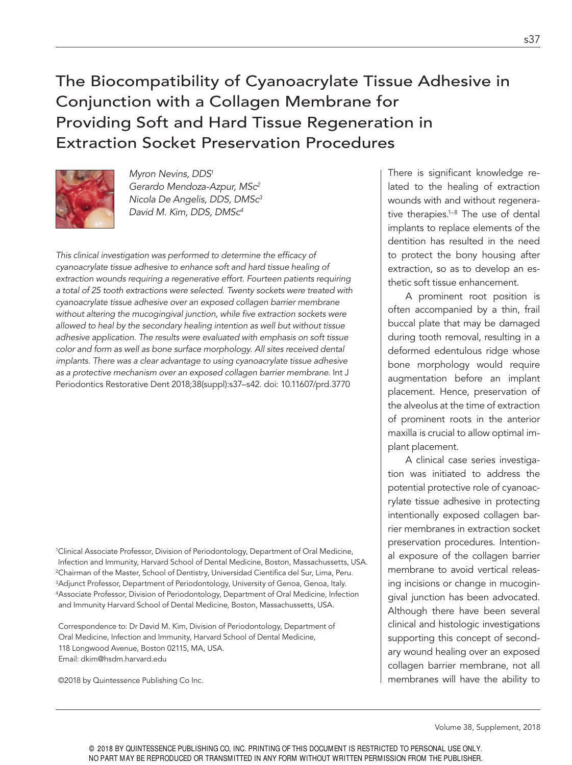# The Biocompatibility of Cyanoacrylate Tissue Adhesive in Conjunction with a Collagen Membrane for Providing Soft and Hard Tissue Regeneration in Extraction Socket Preservation Procedures



Myron Nevins, DDS<sup>1</sup> Gerardo Mendoza-Azpur, MSc<sup>2</sup> Nicola De Angelis, DDS, DMSc<sup>3</sup> David M. Kim, DDS, DMSc<sup>4</sup>

This clinical investigation was performed to determine the eficacy of cyanoacrylate tissue adhesive to enhance soft and hard tissue healing of extraction wounds requiring a regenerative effort. Fourteen patients requiring a total of 25 tooth extractions were selected. Twenty sockets were treated with cyanoacrylate tissue adhesive over an exposed collagen barrier membrane without altering the mucogingival junction, while five extraction sockets were allowed to heal by the secondary healing intention as well but without tissue adhesive application. The results were evaluated with emphasis on soft tissue color and form as well as bone surface morphology. All sites received dental implants. There was a clear advantage to using cyanoacrylate tissue adhesive as a protective mechanism over an exposed collagen barrier membrane. Int J Periodontics Restorative Dent 2018;38(suppl):s37–s42. doi: 10.11607/prd.3770

<sup>1</sup>Clinical Associate Professor, Division of Periodontology, Department of Oral Medicine, Infection and Immunity, Harvard School of Dental Medicine, Boston, Massachussetts, USA. <sup>2</sup>Chairman of the Master, School of Dentistry, Universidad Cientifica del Sur, Lima, Peru. <sup>3</sup>Adjunct Professor, Department of Periodontology, University of Genoa, Genoa, Italy. <sup>4</sup>Associate Professor, Division of Periodontology, Department of Oral Medicine, Infection and Immunity Harvard School of Dental Medicine, Boston, Massachussetts, USA.

Correspondence to: Dr David M. Kim, Division of Periodontology, Department of Oral Medicine, Infection and Immunity, Harvard School of Dental Medicine, 118 Longwood Avenue, Boston 02115, MA, USA. Email: dkim@hsdm.harvard.edu

©2018 by Quintessence Publishing Co Inc.

There is significant knowledge related to the healing of extraction wounds with and without regenerative therapies.1–8 The use of dental implants to replace elements of the dentition has resulted in the need to protect the bony housing after extraction, so as to develop an esthetic soft tissue enhancement.

A prominent root position is often accompanied by a thin, frail buccal plate that may be damaged during tooth removal, resulting in a deformed edentulous ridge whose bone morphology would require augmentation before an implant placement. Hence, preservation of the alveolus at the time of extraction of prominent roots in the anterior maxilla is crucial to allow optimal implant placement.

A clinical case series investigation was initiated to address the potential protective role of cyanoacrylate tissue adhesive in protecting intentionally exposed collagen barrier membranes in extraction socket preservation procedures. Intentional exposure of the collagen barrier membrane to avoid vertical releasing incisions or change in mucogingival junction has been advocated. Although there have been several clinical and histologic investigations supporting this concept of secondary wound healing over an exposed collagen barrier membrane, not all membranes will have the ability to

Volume 38, Supplement, 2018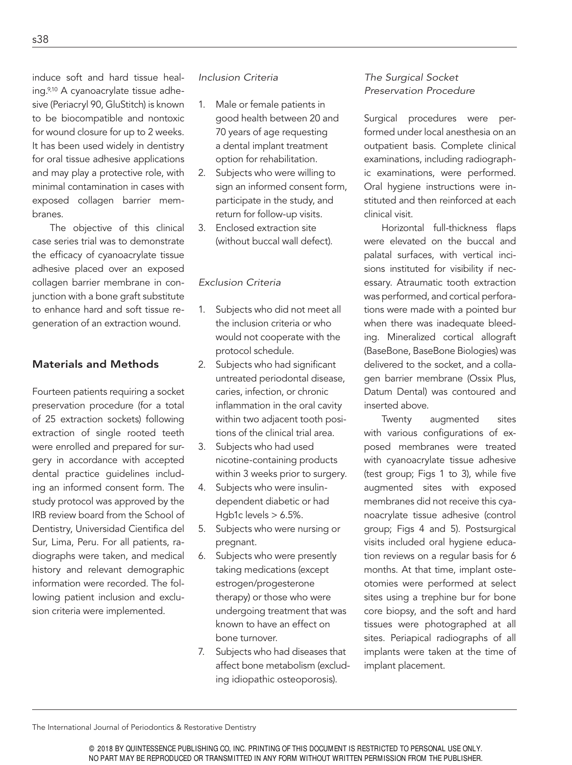induce soft and hard tissue healing.9,10 A cyanoacrylate tissue adhesive (Periacryl 90, GluStitch) is known to be biocompatible and nontoxic for wound closure for up to 2 weeks. It has been used widely in dentistry for oral tissue adhesive applications and may play a protective role, with minimal contamination in cases with exposed collagen barrier membranes.

The objective of this clinical case series trial was to demonstrate the eficacy of cyanoacrylate tissue adhesive placed over an exposed collagen barrier membrane in conjunction with a bone graft substitute to enhance hard and soft tissue regeneration of an extraction wound.

### Materials and Methods

Fourteen patients requiring a socket preservation procedure (for a total of 25 extraction sockets) following extraction of single rooted teeth were enrolled and prepared for surgery in accordance with accepted dental practice guidelines including an informed consent form. The study protocol was approved by the IRB review board from the School of Dentistry, Universidad Cientifica del Sur, Lima, Peru. For all patients, radiographs were taken, and medical history and relevant demographic information were recorded. The following patient inclusion and exclusion criteria were implemented.

#### Inclusion Criteria

- 1. Male or female patients in good health between 20 and 70 years of age requesting a dental implant treatment option for rehabilitation.
- 2. Subjects who were willing to sign an informed consent form, participate in the study, and return for follow-up visits.
- 3. Enclosed extraction site (without buccal wall defect).

#### Exclusion Criteria

- 1. Subjects who did not meet all the inclusion criteria or who would not cooperate with the protocol schedule.
- 2. Subjects who had significant untreated periodontal disease, caries, infection, or chronic inflammation in the oral cavity within two adjacent tooth positions of the clinical trial area.
- 3. Subjects who had used nicotine-containing products within 3 weeks prior to surgery.
- 4. Subjects who were insulindependent diabetic or had Hgb1c levels  $> 6.5\%$ .
- 5. Subjects who were nursing or pregnant.
- 6. Subjects who were presently taking medications (except estrogen/progesterone therapy) or those who were undergoing treatment that was known to have an effect on bone turnover.
- 7. Subjects who had diseases that affect bone metabolism (excluding idiopathic osteoporosis).

## The Surgical Socket Preservation Procedure

Surgical procedures were performed under local anesthesia on an outpatient basis. Complete clinical examinations, including radiographic examinations, were performed. Oral hygiene instructions were instituted and then reinforced at each clinical visit.

Horizontal full-thickness flaps were elevated on the buccal and palatal surfaces, with vertical incisions instituted for visibility if necessary. Atraumatic tooth extraction was performed, and cortical perforations were made with a pointed bur when there was inadequate bleeding. Mineralized cortical allograft (BaseBone, BaseBone Biologies) was delivered to the socket, and a collagen barrier membrane (Ossix Plus, Datum Dental) was contoured and inserted above.

Twenty augmented sites with various configurations of exposed membranes were treated with cyanoacrylate tissue adhesive (test group; Figs 1 to 3), while five augmented sites with exposed membranes did not receive this cyanoacrylate tissue adhesive (control group; Figs 4 and 5). Postsurgical visits included oral hygiene education reviews on a regular basis for 6 months. At that time, implant osteotomies were performed at select sites using a trephine bur for bone core biopsy, and the soft and hard tissues were photographed at all sites. Periapical radiographs of all implants were taken at the time of implant placement.

The International Journal of Periodontics & Restorative Dentistry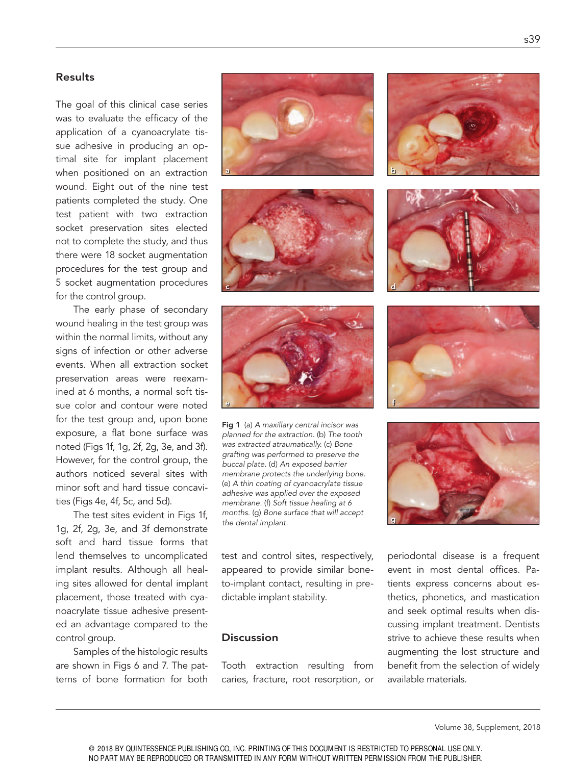#### Results

The goal of this clinical case series was to evaluate the eficacy of the application of a cyanoacrylate tissue adhesive in producing an optimal site for implant placement when positioned on an extraction wound. Eight out of the nine test patients completed the study. One test patient with two extraction socket preservation sites elected not to complete the study, and thus there were 18 socket augmentation procedures for the test group and 5 socket augmentation procedures for the control group.

The early phase of secondary wound healing in the test group was within the normal limits, without any signs of infection or other adverse events. When all extraction socket preservation areas were reexamined at 6 months, a normal soft tissue color and contour were noted for the test group and, upon bone exposure, a flat bone surface was noted (Figs 1f, 1g, 2f, 2g, 3e, and 3f). However, for the control group, the authors noticed several sites with minor soft and hard tissue concavities (Figs 4e, 4f, 5c, and 5d).

The test sites evident in Figs 1f, 1g, 2f, 2g, 3e, and 3f demonstrate soft and hard tissue forms that lend themselves to uncomplicated implant results. Although all healing sites allowed for dental implant placement, those treated with cyanoacrylate tissue adhesive presented an advantage compared to the control group.

Samples of the histologic results are shown in Figs 6 and 7. The patterns of bone formation for both







Fig 1 (a) A maxillary central incisor was planned for the extraction. (b) The tooth was extracted atraumatically. (c) Bone grafting was performed to preserve the buccal plate. (d) An exposed barrier membrane protects the underlying bone. (e) A thin coating of cyanoacrylate tissue adhesive was applied over the exposed membrane. (f) Soft tissue healing at 6 months. (g) Bone surface that will accept the dental implant.

test and control sites, respectively, appeared to provide similar boneto-implant contact, resulting in predictable implant stability.

#### **Discussion**

Tooth extraction resulting from caries, fracture, root resorption, or









periodontal disease is a frequent event in most dental ofices. Patients express concerns about esthetics, phonetics, and mastication and seek optimal results when discussing implant treatment. Dentists strive to achieve these results when augmenting the lost structure and benefit from the selection of widely available materials.

Volume 38, Supplement, 2018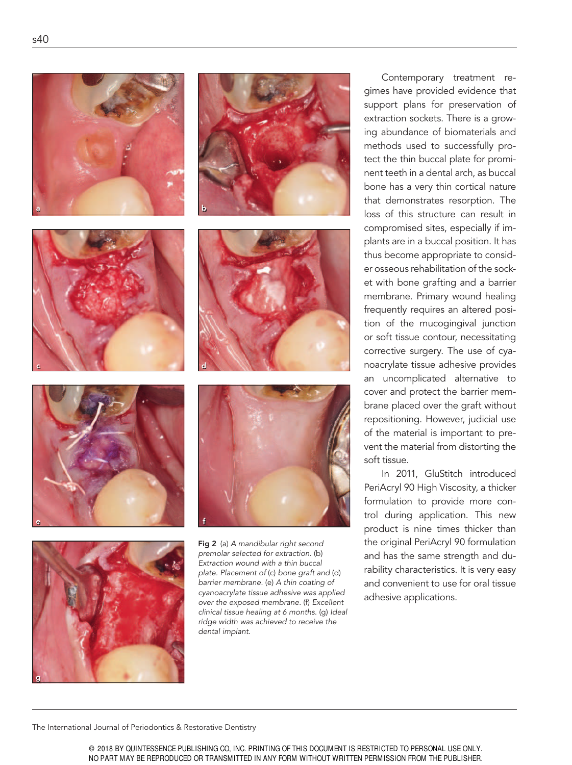













Fig 2 (a) A mandibular right second premolar selected for extraction. (b) Extraction wound with a thin buccal plate. Placement of (c) bone graft and (d) barrier membrane. (e) A thin coating of cyanoacrylate tissue adhesive was applied over the exposed membrane. (f) Excellent clinical tissue healing at 6 months. (g) Ideal ridge width was achieved to receive the dental implant.

Contemporary treatment regimes have provided evidence that support plans for preservation of extraction sockets. There is a growing abundance of biomaterials and methods used to successfully protect the thin buccal plate for prominent teeth in a dental arch, as buccal bone has a very thin cortical nature that demonstrates resorption. The loss of this structure can result in compromised sites, especially if implants are in a buccal position. It has thus become appropriate to consider osseous rehabilitation of the socket with bone grafting and a barrier membrane. Primary wound healing frequently requires an altered position of the mucogingival junction or soft tissue contour, necessitating corrective surgery. The use of cyanoacrylate tissue adhesive provides an uncomplicated alternative to cover and protect the barrier membrane placed over the graft without repositioning. However, judicial use of the material is important to prevent the material from distorting the soft tissue.

In 2011, GluStitch introduced PeriAcryl 90 High Viscosity, a thicker formulation to provide more control during application. This new product is nine times thicker than the original PeriAcryl 90 formulation and has the same strength and durability characteristics. It is very easy and convenient to use for oral tissue adhesive applications.

The International Journal of Periodontics & Restorative Dentistry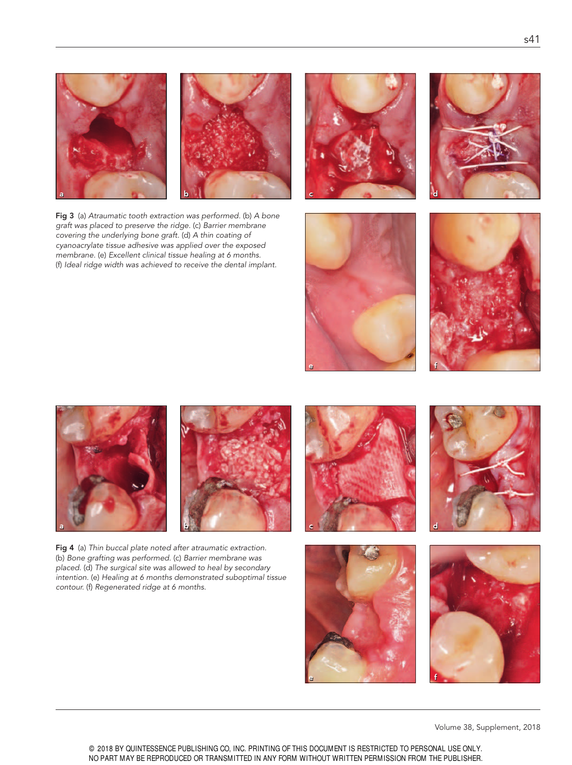

Fig 3 (a) Atraumatic tooth extraction was performed. (b) A bone graft was placed to preserve the ridge. (c) Barrier membrane covering the underlying bone graft. (d) A thin coating of cyanoacrylate tissue adhesive was applied over the exposed membrane. (e) Excellent clinical tissue healing at 6 months. (f) Ideal ridge width was achieved to receive the dental implant.











Fig 4 (a) Thin buccal plate noted after atraumatic extraction. (b) Bone grafting was performed. (c) Barrier membrane was placed. (d) The surgical site was allowed to heal by secondary intention. (e) Healing at 6 months demonstrated suboptimal tissue contour. (f) Regenerated ridge at 6 months.









Volume 38, Supplement, 2018